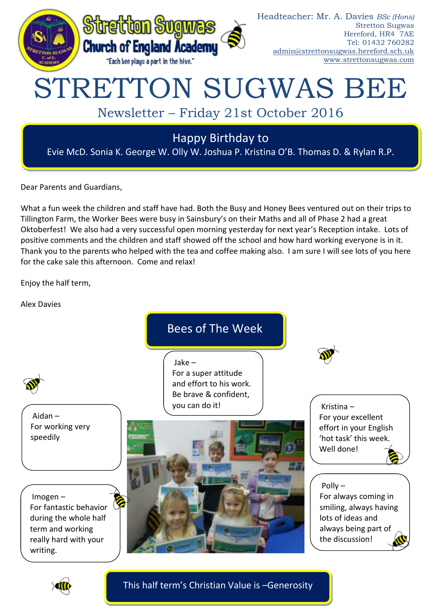

Dear Parents and Guardians,

What a fun week the children and staff have had. Both the Busy and Honey Bees ventured out on their trips to Tillington Farm, the Worker Bees were busy in Sainsbury's on their Maths and all of Phase 2 had a great Oktoberfest! We also had a very successful open morning yesterday for next year's Reception intake. Lots of positive comments and the children and staff showed off the school and how hard working everyone is in it. Thank you to the parents who helped with the tea and coffee making also. I am sure I will see lots of you here for the cake sale this afternoon. Come and relax!

Enjoy the half term,

Alex Davies

Bees of The Week

Jake – For a super attitude and effort to his work. Be brave & confident, you can do it!



Polly –

Kristina – For your excellent effort in your English 'hot task' this week. Well done!

For always coming in smiling, always having

lots of ideas and always being part of the discussion!

Aidan – For working very speedily

Imogen – For fantastic behavior during the whole half term and working really hard with your writing.